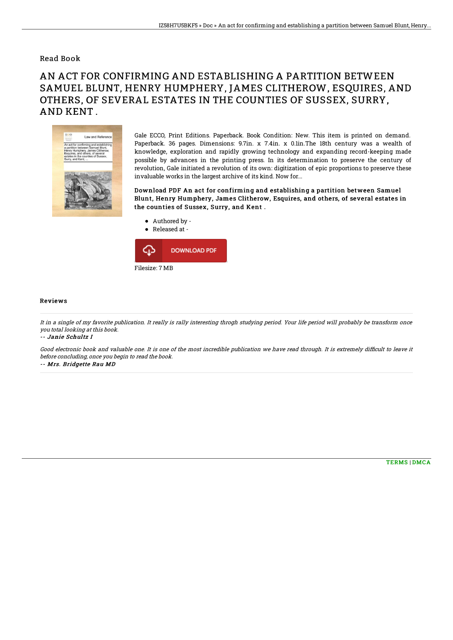## Read Book

## AN ACT FOR CONFIRMING AND ESTABLISHING A PARTITION BETWEEN SAMUEL BLUNT, HENRY HUMPHERY, JAMES CLITHEROW, ESQUIRES, AND OTHERS, OF SEVERAL ESTATES IN THE COUNTIES OF SUSSEX, SURRY, AND KENT .



Gale ECCO, Print Editions. Paperback. Book Condition: New. This item is printed on demand. Paperback. 36 pages. Dimensions: 9.7in. x 7.4in. x 0.1in.The 18th century was a wealth of knowledge, exploration and rapidly growing technology and expanding record-keeping made possible by advances in the printing press. In its determination to preserve the century of revolution, Gale initiated a revolution of its own: digitization of epic proportions to preserve these invaluable works in the largest archive of its kind. Now for...

Download PDF An act for confirming and establishing a partition between Samuel Blunt, Henry Humphery, James Clitherow, Esquires, and others, of several estates in the counties of Sussex, Surry, and Kent .



## Reviews

It in <sup>a</sup> single of my favorite publication. It really is rally interesting throgh studying period. Your life period will probably be transform once you total looking at this book.

-- Janie Schultz I

Good electronic book and valuable one. It is one of the most incredible publication we have read through. It is extremely difficult to leave it before concluding, once you begin to read the book.

-- Mrs. Bridgette Rau MD